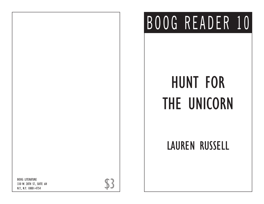## BOOG READER 10

## HUNT FOR THE UNICORN

## LAUREN RUSSELL

BOOG LITERATURE<br>330 W. 28TH ST., SUITE 6H<br>N.Y., N.Y. 10001-4754 330 W. 28TH ST., SUITE 6H N.Y., N.Y. 10001-4754

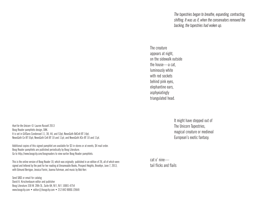*The tapestries began to breathe, expanding, contracting, shifting. It was as if, when the conservators removed the backing, the tapestries had woken up.*

The creature appears at night, on the sidewalk outside the house—a cat, luminously white with red sockets behind pink eyes, elephantine ears, asphyxiatingly triangulated head.

*Hunt for the Unicorn* © Lauren Russell 2013 Boog Reader pamphlets design, DAK. It is set in GillSans Condensed 11, 38, 44, and 53pt; NewsGoth BdCnIt BT 14pt; NewsGoth Cn BT 55pt; NewsGoth CnIt BT 10 and 11pt; and NewsGoth XCn BT 10 and 11pt.

Additional copies of this signed pamphlet are available for \$3 in stores or at events, \$4 mail order. Boog Reader pamphlets are published periodically by Boog Literature. Go to http://www.boogcity.com/boogreaders to view earlier Boog Reader pamphlets.

This is the online version of Boog Reader 10, which was originally published in an edition of 26, all of which were signed and lettered by the poet for her reading at Unnameable Books, Prospect Heights, Brooklyn, June 7, 2013, with Edmund Berrigan, Jessica Fiorini, Joanna Fuhrman, and music by Bob Kerr.

Send SASE or email for catalog David A. Kirschenbaum editor and publisher Boog Literature 330 W. 28th St., Suite 6H, N.Y., N.Y. 10001-4754 www.boogcity.com • editor@boogcity.com • 212-842-BOOG (2664) It might have stepped out of The Unicorn Tapestries, magical creature or medieval European's exotic fantasy.

cat o' nine tail flicks and flails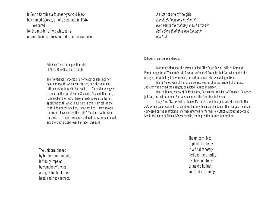In South Carolina a fourteen-year-old black boy named George, all of 95 pounds in 1944 executed for the murder of two white girls on an alleged confession and no other evidence

> Evidence from the Inquisition trial of María González, 1511-1513:

 Their reverences ordered a jar of water poured into her nose and mouth, which was started, and she said she affirmed everything she had said. … The order was given to pour another jar of water. She said, "I speak the truth, I have spoken the truth, I have already spoken the truth, I speak the truth, what I have said is true, I am telling the truth, I do not tell any lies, I have not lied, I have spoken the truth, I have spoken the truth." The jar of water was finished. … Their reverences ordered the water continued, and the cloth placed [over her face]. She said

The unicorn, chased by hunters and hounds, is finally impaled by somebody's spear, a dog at his back; his head and neck retract.

A sister of one of the girls: *Everybody knew that he done it even before the trial they knew he done it. But, I don't think they had too much of a trial.*

Relaxed in person as judaizers:

Marina de Mercado, the woman called "The Patch-Faced," wife of García de Paraja, daughter of Ynés Nuñez de Naxera, resident of Granada. Judaizer who denied the charges, convicted by her witnesses, burned in person. She was a dogmatizer.

María Nuñez, wife of Hernando Gómez, weaver of silks, resident of Granada. Judaizer who denied the charges, convicted, burned in person. …

Beatriz Nuñez, widow of Pedro Alvarez, Portuguese, resident of Granada. Relapsed judaizer, burned in person. She was penanced the first time in Lisbon. …

Lady Ynés Alvarez, wife of Tomás Martínez, constable, judaizer. She went to the *auto* with a paper coronet that signified burning, because she denied the charges. Then she confessed on the scaffolding, and they returned her to the Holy Office without the coronet. She is the sister of Alonso Sánchez's wife; the Inquisition burned her mother.

> The unicorn lives in placid captivity in a final tapestry. Perhaps the afterlife involves lobotomy, or maybe he just got tired of running.